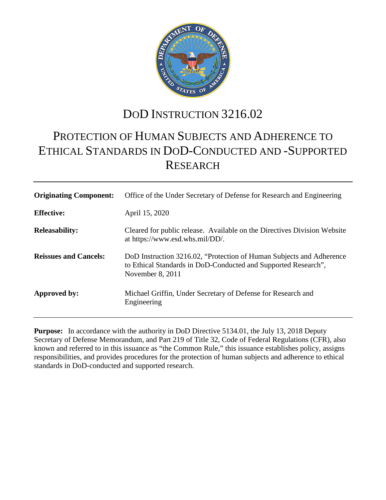

# DOD INSTRUCTION 3216.02

# PROTECTION OF HUMAN SUBJECTS AND ADHERENCE TO ETHICAL STANDARDS IN DOD-CONDUCTED AND -SUPPORTED RESEARCH

| <b>Originating Component:</b> | Office of the Under Secretary of Defense for Research and Engineering                                                                                       |
|-------------------------------|-------------------------------------------------------------------------------------------------------------------------------------------------------------|
| <b>Effective:</b>             | April 15, 2020                                                                                                                                              |
| <b>Releasability:</b>         | Cleared for public release. Available on the Directives Division Website<br>at https://www.esd.whs.mil/DD/.                                                 |
| <b>Reissues and Cancels:</b>  | DoD Instruction 3216.02, "Protection of Human Subjects and Adherence"<br>to Ethical Standards in DoD-Conducted and Supported Research",<br>November 8, 2011 |
| Approved by:                  | Michael Griffin, Under Secretary of Defense for Research and<br>Engineering                                                                                 |

**Purpose:** In accordance with the authority in DoD Directive 5134.01, the July 13, 2018 Deputy Secretary of Defense Memorandum, and Part 219 of Title 32, Code of Federal Regulations (CFR), also known and referred to in this issuance as "the Common Rule," this issuance establishes policy, assigns responsibilities, and provides procedures for the protection of human subjects and adherence to ethical standards in DoD-conducted and supported research.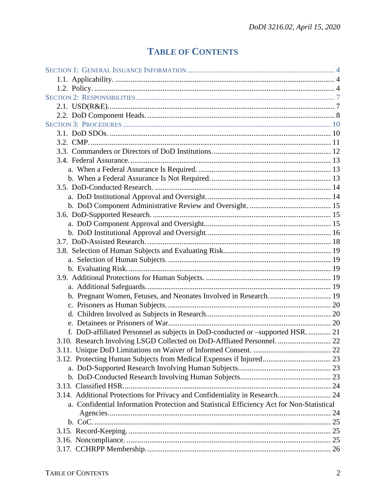# **TABLE OF CONTENTS**

| f. DoD-affiliated Personnel as subjects in DoD-conducted or -supported HSR.  21           |  |
|-------------------------------------------------------------------------------------------|--|
| 3.10. Research Involving LSGD Collected on DoD-Affliated Personnel.  22                   |  |
|                                                                                           |  |
|                                                                                           |  |
|                                                                                           |  |
|                                                                                           |  |
|                                                                                           |  |
| 3.14. Additional Protections for Privacy and Confidentiality in Research 24               |  |
| a. Confidential Information Protection and Statistical Efficiency Act for Non-Statistical |  |
|                                                                                           |  |
|                                                                                           |  |
|                                                                                           |  |
|                                                                                           |  |
|                                                                                           |  |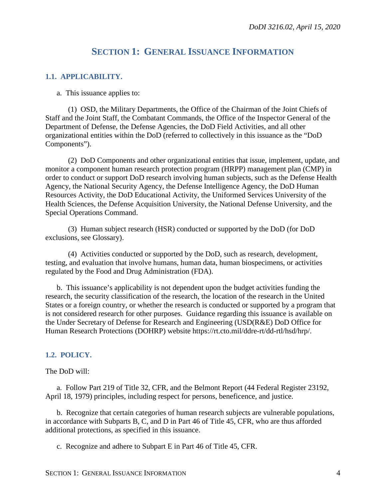## **SECTION 1: GENERAL ISSUANCE INFORMATION**

## <span id="page-3-1"></span><span id="page-3-0"></span>**1.1. APPLICABILITY.**

a. This issuance applies to:

(1) OSD, the Military Departments, the Office of the Chairman of the Joint Chiefs of Staff and the Joint Staff, the Combatant Commands, the Office of the Inspector General of the Department of Defense, the Defense Agencies, the DoD Field Activities, and all other organizational entities within the DoD (referred to collectively in this issuance as the "DoD Components").

(2) DoD Components and other organizational entities that issue, implement, update, and monitor a component human research protection program (HRPP) management plan (CMP) in order to conduct or support DoD research involving human subjects, such as the Defense Health Agency, the National Security Agency, the Defense Intelligence Agency, the DoD Human Resources Activity, the DoD Educational Activity, the Uniformed Services University of the Health Sciences, the Defense Acquisition University, the National Defense University, and the Special Operations Command.

(3) Human subject research (HSR) conducted or supported by the DoD (for DoD exclusions, see Glossary).

(4) Activities conducted or supported by the DoD, such as research, development, testing, and evaluation that involve humans, human data, human biospecimens, or activities regulated by the Food and Drug Administration (FDA).

b. This issuance's applicability is not dependent upon the budget activities funding the research, the security classification of the research, the location of the research in the United States or a foreign country, or whether the research is conducted or supported by a program that is not considered research for other purposes. Guidance regarding this issuance is available on the Under Secretary of Defense for Research and Engineering (USD(R&E) DoD Office for Human Research Protections (DOHRP) website https://rt.cto.mil/ddre-rt/dd-rtl/hsd/hrp/.

## <span id="page-3-2"></span>**1.2. POLICY.**

The DoD will:

a. Follow Part 219 of Title 32, CFR, and the Belmont Report (44 Federal Register 23192, April 18, 1979) principles, including respect for persons, beneficence, and justice.

b. Recognize that certain categories of human research subjects are vulnerable populations, in accordance with Subparts B, C, and D in Part 46 of Title 45, CFR, who are thus afforded additional protections, as specified in this issuance.

c. Recognize and adhere to Subpart E in Part 46 of Title 45, CFR.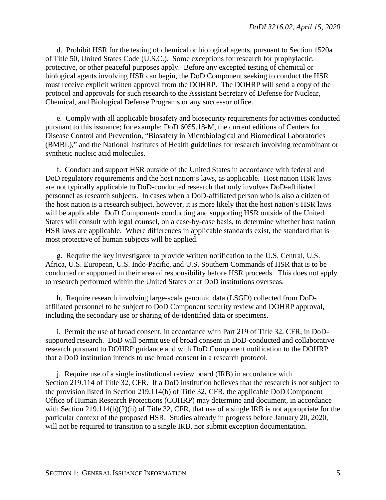d. Prohibit HSR for the testing of chemical or biological agents, pursuant to Section 1520a of Title 50, United States Code (U.S.C.). Some exceptions for research for prophylactic, protective, or other peaceful purposes apply. Before any excepted testing of chemical or biological agents involving HSR can begin, the DoD Component seeking to conduct the HSR must receive explicit written approval from the DOHRP. The DOHRP will send a copy of the protocol and approvals for such research to the Assistant Secretary of Defense for Nuclear, Chemical, and Biological Defense Programs or any successor office.

e. Comply with all applicable biosafety and biosecurity requirements for activities conducted pursuant to this issuance; for example: DoD 6055.18-M, the current editions of Centers for Disease Control and Prevention, "Biosafety in Microbiological and Biomedical Laboratories (BMBL)," and the National Institutes of Health guidelines for research involving recombinant or synthetic nucleic acid molecules.

f. Conduct and support HSR outside of the United States in accordance with federal and DoD regulatory requirements and the host nation's laws, as applicable. Host nation HSR laws are not typically applicable to DoD-conducted research that only involves DoD-affiliated personnel as research subjects. In cases when a DoD-affiliated person who is also a citizen of the host nation is a research subject, however, it is more likely that the host nation's HSR laws will be applicable. DoD Components conducting and supporting HSR outside of the United States will consult with legal counsel, on a case-by-case basis, to determine whether host nation HSR laws are applicable. Where differences in applicable standards exist, the standard that is most protective of human subjects will be applied.

g. Require the key investigator to provide written notification to the U.S. Central, U.S. Africa, U.S. European, U.S. Indo-Pacific, and U.S. Southern Commands of HSR that is to be conducted or supported in their area of responsibility before HSR proceeds. This does not apply to research performed within the United States or at DoD institutions overseas.

h. Require research involving large-scale genomic data (LSGD) collected from DoDaffiliated personnel to be subject to DoD Component security review and DOHRP approval, including the secondary use or sharing of de-identified data or specimens.

i. Permit the use of broad consent, in accordance with Part 219 of Title 32, CFR, in DoDsupported research. DoD will permit use of broad consent in DoD-conducted and collaborative research pursuant to DOHRP guidance and with DoD Component notification to the DOHRP that a DoD institution intends to use broad consent in a research protocol.

j. Require use of a single institutional review board (IRB) in accordance with Section 219.114 of Title 32, CFR. If a DoD institution believes that the research is not subject to the provision listed in Section 219.114(b) of Title 32, CFR, the applicable DoD Component Office of Human Research Protections (COHRP) may determine and document, in accordance with Section 219.114(b)(2)(ii) of Title 32, CFR, that use of a single IRB is not appropriate for the particular context of the proposed HSR. Studies already in progress before January 20, 2020, will not be required to transition to a single IRB, nor submit exception documentation.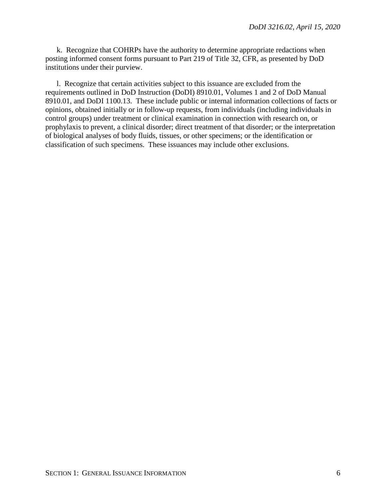k. Recognize that COHRPs have the authority to determine appropriate redactions when posting informed consent forms pursuant to Part 219 of Title 32, CFR, as presented by DoD institutions under their purview.

l. Recognize that certain activities subject to this issuance are excluded from the requirements outlined in DoD Instruction (DoDI) 8910.01, Volumes 1 and 2 of DoD Manual 8910.01, and DoDI 1100.13. These include public or internal information collections of facts or opinions, obtained initially or in follow-up requests, from individuals (including individuals in control groups) under treatment or clinical examination in connection with research on, or prophylaxis to prevent, a clinical disorder; direct treatment of that disorder; or the interpretation of biological analyses of body fluids, tissues, or other specimens; or the identification or classification of such specimens. These issuances may include other exclusions.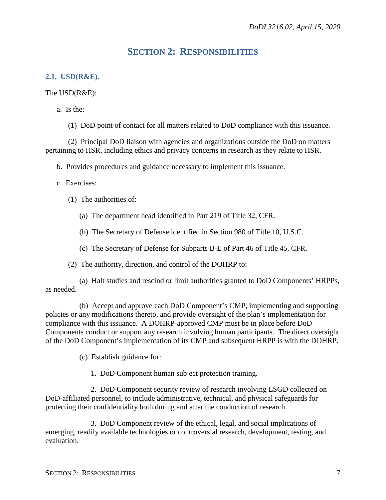# **SECTION 2: RESPONSIBILITIES**

## <span id="page-6-1"></span><span id="page-6-0"></span>**2.1. USD(R&E).**

## The USD(R&E):

a. Is the:

(1) DoD point of contact for all matters related to DoD compliance with this issuance.

(2) Principal DoD liaison with agencies and organizations outside the DoD on matters pertaining to HSR, including ethics and privacy concerns in research as they relate to HSR.

b. Provides procedures and guidance necessary to implement this issuance.

## c. Exercises:

- (1) The authorities of:
	- (a) The department head identified in Part 219 of Title 32, CFR.
	- (b) The Secretary of Defense identified in Section 980 of Title 10, U.S.C.
	- (c) The Secretary of Defense for Subparts B-E of Part 46 of Title 45, CFR.
- (2) The authority, direction, and control of the DOHRP to:

(a) Halt studies and rescind or limit authorities granted to DoD Components' HRPPs, as needed.

(b) Accept and approve each DoD Component's CMP, implementing and supporting policies or any modifications thereto, and provide oversight of the plan's implementation for compliance with this issuance. A DOHRP-approved CMP must be in place before DoD Components conduct or support any research involving human participants. The direct oversight of the DoD Component's implementation of its CMP and subsequent HRPP is with the DOHRP.

- (c) Establish guidance for:
	- 1. DoD Component human subject protection training.

2. DoD Component security review of research involving LSGD collected on DoD-affiliated personnel, to include administrative, technical, and physical safeguards for protecting their confidentiality both during and after the conduction of research.

3. DoD Component review of the ethical, legal, and social implications of emerging, readily available technologies or controversial research, development, testing, and evaluation.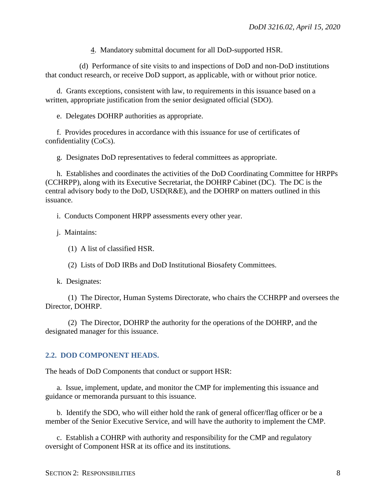4. Mandatory submittal document for all DoD-supported HSR.

(d) Performance of site visits to and inspections of DoD and non-DoD institutions that conduct research, or receive DoD support, as applicable, with or without prior notice.

d. Grants exceptions, consistent with law, to requirements in this issuance based on a written, appropriate justification from the senior designated official (SDO).

e. Delegates DOHRP authorities as appropriate.

f. Provides procedures in accordance with this issuance for use of certificates of confidentiality (CoCs).

g. Designates DoD representatives to federal committees as appropriate.

h. Establishes and coordinates the activities of the DoD Coordinating Committee for HRPPs (CCHRPP), along with its Executive Secretariat, the DOHRP Cabinet (DC). The DC is the central advisory body to the DoD, USD(R&E), and the DOHRP on matters outlined in this issuance.

i. Conducts Component HRPP assessments every other year.

j. Maintains:

(1) A list of classified HSR.

(2) Lists of DoD IRBs and DoD Institutional Biosafety Committees.

k. Designates:

(1) The Director, Human Systems Directorate, who chairs the CCHRPP and oversees the Director, DOHRP.

(2) The Director, DOHRP the authority for the operations of the DOHRP, and the designated manager for this issuance.

#### <span id="page-7-0"></span>**2.2. DOD COMPONENT HEADS.**

The heads of DoD Components that conduct or support HSR:

a. Issue, implement, update, and monitor the CMP for implementing this issuance and guidance or memoranda pursuant to this issuance.

b. Identify the SDO, who will either hold the rank of general officer/flag officer or be a member of the Senior Executive Service, and will have the authority to implement the CMP.

c. Establish a COHRP with authority and responsibility for the CMP and regulatory oversight of Component HSR at its office and its institutions.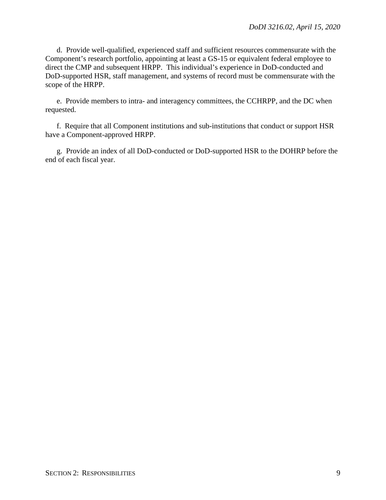d. Provide well-qualified, experienced staff and sufficient resources commensurate with the Component's research portfolio, appointing at least a GS-15 or equivalent federal employee to direct the CMP and subsequent HRPP. This individual's experience in DoD-conducted and DoD-supported HSR, staff management, and systems of record must be commensurate with the scope of the HRPP.

e. Provide members to intra- and interagency committees, the CCHRPP, and the DC when requested.

f. Require that all Component institutions and sub-institutions that conduct or support HSR have a Component-approved HRPP.

g. Provide an index of all DoD-conducted or DoD-supported HSR to the DOHRP before the end of each fiscal year.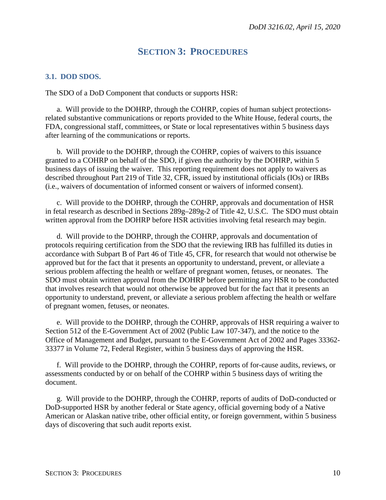## **SECTION 3: PROCEDURES**

## <span id="page-9-1"></span><span id="page-9-0"></span>**3.1. DOD SDOS.**

The SDO of a DoD Component that conducts or supports HSR:

a. Will provide to the DOHRP, through the COHRP, copies of human subject protectionsrelated substantive communications or reports provided to the White House, federal courts, the FDA, congressional staff, committees, or State or local representatives within 5 business days after learning of the communications or reports.

b. Will provide to the DOHRP, through the COHRP, copies of waivers to this issuance granted to a COHRP on behalf of the SDO, if given the authority by the DOHRP, within 5 business days of issuing the waiver. This reporting requirement does not apply to waivers as described throughout Part 219 of Title 32, CFR, issued by institutional officials (IOs) or IRBs (i.e., waivers of documentation of informed consent or waivers of informed consent).

c. Will provide to the DOHRP, through the COHRP, approvals and documentation of HSR in fetal research as described in Sections 289g–289g-2 of Title 42, U.S.C. The SDO must obtain written approval from the DOHRP before HSR activities involving fetal research may begin.

d. Will provide to the DOHRP, through the COHRP, approvals and documentation of protocols requiring certification from the SDO that the reviewing IRB has fulfilled its duties in accordance with Subpart B of Part 46 of Title 45, CFR, for research that would not otherwise be approved but for the fact that it presents an opportunity to understand, prevent, or alleviate a serious problem affecting the health or welfare of pregnant women, fetuses, or neonates. The SDO must obtain written approval from the DOHRP before permitting any HSR to be conducted that involves research that would not otherwise be approved but for the fact that it presents an opportunity to understand, prevent, or alleviate a serious problem affecting the health or welfare of pregnant women, fetuses, or neonates.

e. Will provide to the DOHRP, through the COHRP, approvals of HSR requiring a waiver to Section 512 of the E-Government Act of 2002 (Public Law 107-347), and the notice to the Office of Management and Budget, pursuant to the E-Government Act of 2002 and Pages 33362- 33377 in Volume 72, Federal Register, within 5 business days of approving the HSR.

f. Will provide to the DOHRP, through the COHRP, reports of for-cause audits, reviews, or assessments conducted by or on behalf of the COHRP within 5 business days of writing the document.

g. Will provide to the DOHRP, through the COHRP, reports of audits of DoD-conducted or DoD-supported HSR by another federal or State agency, official governing body of a Native American or Alaskan native tribe, other official entity, or foreign government, within 5 business days of discovering that such audit reports exist.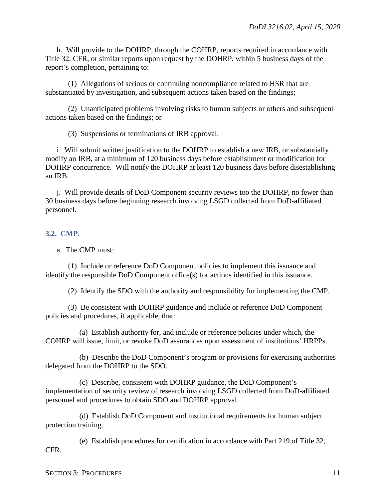h. Will provide to the DOHRP, through the COHRP, reports required in accordance with Title 32, CFR, or similar reports upon request by the DOHRP, within 5 business days of the report's completion, pertaining to:

(1) Allegations of serious or continuing noncompliance related to HSR that are substantiated by investigation, and subsequent actions taken based on the findings;

(2) Unanticipated problems involving risks to human subjects or others and subsequent actions taken based on the findings; or

(3) Suspensions or terminations of IRB approval.

i. Will submit written justification to the DOHRP to establish a new IRB, or substantially modify an IRB, at a minimum of 120 business days before establishment or modification for DOHRP concurrence. Will notify the DOHRP at least 120 business days before disestablishing an IRB.

j. Will provide details of DoD Component security reviews too the DOHRP, no fewer than 30 business days before beginning research involving LSGD collected from DoD-affiliated personnel.

#### <span id="page-10-0"></span>**3.2. CMP.**

a. The CMP must:

(1) Include or reference DoD Component policies to implement this issuance and identify the responsible DoD Component office(s) for actions identified in this issuance.

(2) Identify the SDO with the authority and responsibility for implementing the CMP.

(3) Be consistent with DOHRP guidance and include or reference DoD Component policies and procedures, if applicable, that:

(a) Establish authority for, and include or reference policies under which, the COHRP will issue, limit, or revoke DoD assurances upon assessment of institutions' HRPPs.

(b) Describe the DoD Component's program or provisions for exercising authorities delegated from the DOHRP to the SDO.

(c) Describe, consistent with DOHRP guidance, the DoD Component's implementation of security review of research involving LSGD collected from DoD-affiliated personnel and procedures to obtain SDO and DOHRP approval.

(d) Establish DoD Component and institutional requirements for human subject protection training.

(e) Establish procedures for certification in accordance with Part 219 of Title 32, CFR.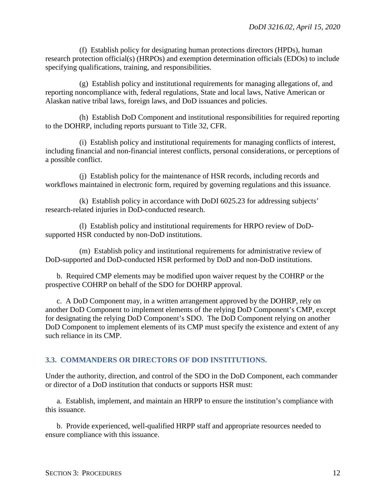(f) Establish policy for designating human protections directors (HPDs), human research protection official(s) (HRPOs) and exemption determination officials (EDOs) to include specifying qualifications, training, and responsibilities.

(g) Establish policy and institutional requirements for managing allegations of, and reporting noncompliance with, federal regulations, State and local laws, Native American or Alaskan native tribal laws, foreign laws, and DoD issuances and policies.

(h) Establish DoD Component and institutional responsibilities for required reporting to the DOHRP, including reports pursuant to Title 32, CFR.

(i) Establish policy and institutional requirements for managing conflicts of interest, including financial and non-financial interest conflicts, personal considerations, or perceptions of a possible conflict.

(j) Establish policy for the maintenance of HSR records, including records and workflows maintained in electronic form, required by governing regulations and this issuance.

(k) Establish policy in accordance with DoDI 6025.23 for addressing subjects' research-related injuries in DoD-conducted research.

(l) Establish policy and institutional requirements for HRPO review of DoDsupported HSR conducted by non-DoD institutions.

(m) Establish policy and institutional requirements for administrative review of DoD-supported and DoD-conducted HSR performed by DoD and non-DoD institutions.

b. Required CMP elements may be modified upon waiver request by the COHRP or the prospective COHRP on behalf of the SDO for DOHRP approval.

c. A DoD Component may, in a written arrangement approved by the DOHRP, rely on another DoD Component to implement elements of the relying DoD Component's CMP, except for designating the relying DoD Component's SDO. The DoD Component relying on another DoD Component to implement elements of its CMP must specify the existence and extent of any such reliance in its CMP.

## <span id="page-11-0"></span>**3.3. COMMANDERS OR DIRECTORS OF DOD INSTITUTIONS.**

Under the authority, direction, and control of the SDO in the DoD Component, each commander or director of a DoD institution that conducts or supports HSR must:

a. Establish, implement, and maintain an HRPP to ensure the institution's compliance with this issuance.

b. Provide experienced, well-qualified HRPP staff and appropriate resources needed to ensure compliance with this issuance.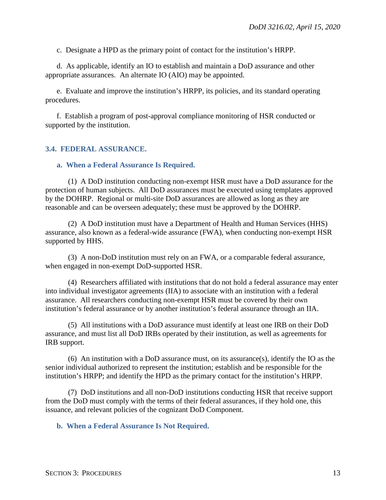c. Designate a HPD as the primary point of contact for the institution's HRPP.

d. As applicable, identify an IO to establish and maintain a DoD assurance and other appropriate assurances. An alternate IO (AIO) may be appointed.

e. Evaluate and improve the institution's HRPP, its policies, and its standard operating procedures.

f. Establish a program of post-approval compliance monitoring of HSR conducted or supported by the institution.

#### <span id="page-12-0"></span>**3.4. FEDERAL ASSURANCE.**

#### <span id="page-12-1"></span>**a. When a Federal Assurance Is Required.**

(1) A DoD institution conducting non-exempt HSR must have a DoD assurance for the protection of human subjects. All DoD assurances must be executed using templates approved by the DOHRP. Regional or multi-site DoD assurances are allowed as long as they are reasonable and can be overseen adequately; these must be approved by the DOHRP.

(2) A DoD institution must have a Department of Health and Human Services (HHS) assurance, also known as a federal-wide assurance (FWA), when conducting non-exempt HSR supported by HHS.

(3) A non-DoD institution must rely on an FWA, or a comparable federal assurance, when engaged in non-exempt DoD-supported HSR.

(4) Researchers affiliated with institutions that do not hold a federal assurance may enter into individual investigator agreements (IIA) to associate with an institution with a federal assurance. All researchers conducting non-exempt HSR must be covered by their own institution's federal assurance or by another institution's federal assurance through an IIA.

(5) All institutions with a DoD assurance must identify at least one IRB on their DoD assurance, and must list all DoD IRBs operated by their institution, as well as agreements for IRB support.

(6) An institution with a DoD assurance must, on its assurance(s), identify the IO as the senior individual authorized to represent the institution; establish and be responsible for the institution's HRPP; and identify the HPD as the primary contact for the institution's HRPP.

(7) DoD institutions and all non-DoD institutions conducting HSR that receive support from the DoD must comply with the terms of their federal assurances, if they hold one, this issuance, and relevant policies of the cognizant DoD Component.

<span id="page-12-2"></span>**b. When a Federal Assurance Is Not Required.**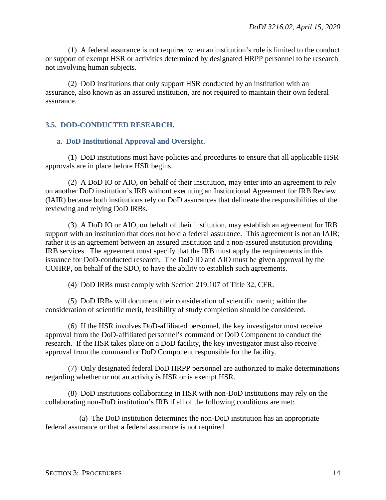(1) A federal assurance is not required when an institution's role is limited to the conduct or support of exempt HSR or activities determined by designated HRPP personnel to be research not involving human subjects.

(2) DoD institutions that only support HSR conducted by an institution with an assurance, also known as an assured institution, are not required to maintain their own federal assurance.

#### <span id="page-13-0"></span>**3.5. DOD-CONDUCTED RESEARCH.**

#### <span id="page-13-1"></span>**a. DoD Institutional Approval and Oversight.**

(1) DoD institutions must have policies and procedures to ensure that all applicable HSR approvals are in place before HSR begins.

(2) A DoD IO or AIO, on behalf of their institution, may enter into an agreement to rely on another DoD institution's IRB without executing an Institutional Agreement for IRB Review (IAIR) because both institutions rely on DoD assurances that delineate the responsibilities of the reviewing and relying DoD IRBs.

(3) A DoD IO or AIO, on behalf of their institution, may establish an agreement for IRB support with an institution that does not hold a federal assurance. This agreement is not an IAIR; rather it is an agreement between an assured institution and a non-assured institution providing IRB services. The agreement must specify that the IRB must apply the requirements in this issuance for DoD-conducted research. The DoD IO and AIO must be given approval by the COHRP, on behalf of the SDO, to have the ability to establish such agreements.

(4) DoD IRBs must comply with Section 219.107 of Title 32, CFR.

(5) DoD IRBs will document their consideration of scientific merit; within the consideration of scientific merit, feasibility of study completion should be considered.

(6) If the HSR involves DoD-affiliated personnel, the key investigator must receive approval from the DoD-affiliated personnel's command or DoD Component to conduct the research. If the HSR takes place on a DoD facility, the key investigator must also receive approval from the command or DoD Component responsible for the facility.

(7) Only designated federal DoD HRPP personnel are authorized to make determinations regarding whether or not an activity is HSR or is exempt HSR.

(8) DoD institutions collaborating in HSR with non-DoD institutions may rely on the collaborating non-DoD institution's IRB if all of the following conditions are met:

(a) The DoD institution determines the non-DoD institution has an appropriate federal assurance or that a federal assurance is not required.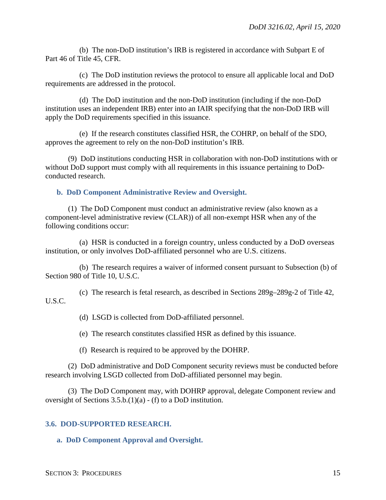(b) The non-DoD institution's IRB is registered in accordance with Subpart E of Part 46 of Title 45, CFR.

(c) The DoD institution reviews the protocol to ensure all applicable local and DoD requirements are addressed in the protocol.

(d) The DoD institution and the non-DoD institution (including if the non-DoD institution uses an independent IRB) enter into an IAIR specifying that the non-DoD IRB will apply the DoD requirements specified in this issuance.

(e) If the research constitutes classified HSR, the COHRP, on behalf of the SDO, approves the agreement to rely on the non-DoD institution's IRB.

(9) DoD institutions conducting HSR in collaboration with non-DoD institutions with or without DoD support must comply with all requirements in this issuance pertaining to DoDconducted research.

<span id="page-14-0"></span>**b. DoD Component Administrative Review and Oversight.**

(1) The DoD Component must conduct an administrative review (also known as a component-level administrative review (CLAR)) of all non-exempt HSR when any of the following conditions occur:

(a) HSR is conducted in a foreign country, unless conducted by a DoD overseas institution, or only involves DoD-affiliated personnel who are U.S. citizens.

(b) The research requires a waiver of informed consent pursuant to Subsection (b) of Section 980 of Title 10, U.S.C.

(c) The research is fetal research, as described in Sections 289g–289g-2 of Title 42, U.S.C.

(d) LSGD is collected from DoD-affiliated personnel.

(e) The research constitutes classified HSR as defined by this issuance.

(f) Research is required to be approved by the DOHRP.

(2) DoD administrative and DoD Component security reviews must be conducted before research involving LSGD collected from DoD-affiliated personnel may begin.

(3) The DoD Component may, with DOHRP approval, delegate Component review and oversight of Sections 3.5.b.(1)(a) - (f) to a DoD institution.

#### <span id="page-14-1"></span>**3.6. DOD-SUPPORTED RESEARCH.**

<span id="page-14-2"></span>**a. DoD Component Approval and Oversight.**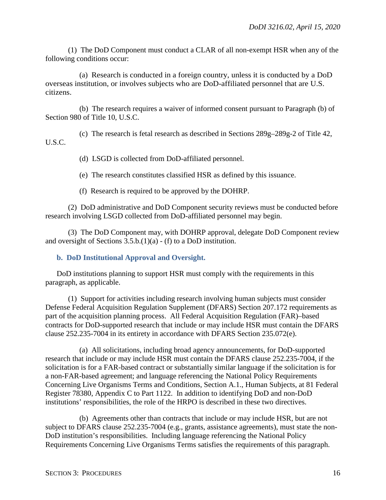(1) The DoD Component must conduct a CLAR of all non-exempt HSR when any of the following conditions occur:

(a) Research is conducted in a foreign country, unless it is conducted by a DoD overseas institution, or involves subjects who are DoD-affiliated personnel that are U.S. citizens.

(b) The research requires a waiver of informed consent pursuant to Paragraph (b) of Section 980 of Title 10, U.S.C.

- (c) The research is fetal research as described in Sections 289g–289g-2 of Title 42, U.S.C.
	- (d) LSGD is collected from DoD-affiliated personnel.

(e) The research constitutes classified HSR as defined by this issuance.

(f) Research is required to be approved by the DOHRP.

(2) DoD administrative and DoD Component security reviews must be conducted before research involving LSGD collected from DoD-affiliated personnel may begin.

(3) The DoD Component may, with DOHRP approval, delegate DoD Component review and oversight of Sections 3.5.b.(1)(a) - (f) to a DoD institution.

## <span id="page-15-0"></span>**b. DoD Institutional Approval and Oversight.**

DoD institutions planning to support HSR must comply with the requirements in this paragraph, as applicable.

(1) Support for activities including research involving human subjects must consider Defense Federal Acquisition Regulation Supplement (DFARS) Section 207.172 requirements as part of the acquisition planning process. All Federal Acquisition Regulation (FAR)–based contracts for DoD-supported research that include or may include HSR must contain the DFARS clause 252.235-7004 in its entirety in accordance with DFARS Section 235.072(e).

(a) All solicitations, including broad agency announcements, for DoD-supported research that include or may include HSR must contain the DFARS clause 252.235-7004, if the solicitation is for a FAR-based contract or substantially similar language if the solicitation is for a non-FAR-based agreement; and language referencing the National Policy Requirements Concerning Live Organisms Terms and Conditions, Section A.1., Human Subjects, at 81 Federal Register 78380, Appendix C to Part 1122. In addition to identifying DoD and non-DoD institutions' responsibilities, the role of the HRPO is described in these two directives.

(b) Agreements other than contracts that include or may include HSR, but are not subject to DFARS clause 252.235-7004 (e.g., grants, assistance agreements), must state the non-DoD institution's responsibilities. Including language referencing the National Policy Requirements Concerning Live Organisms Terms satisfies the requirements of this paragraph.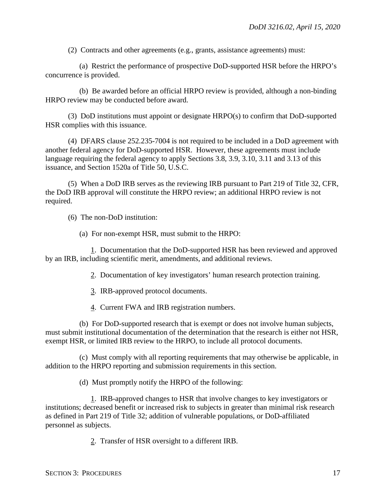(2) Contracts and other agreements (e.g., grants, assistance agreements) must:

(a) Restrict the performance of prospective DoD-supported HSR before the HRPO's concurrence is provided.

(b) Be awarded before an official HRPO review is provided, although a non-binding HRPO review may be conducted before award.

(3) DoD institutions must appoint or designate HRPO(s) to confirm that DoD-supported HSR complies with this issuance.

(4) DFARS clause 252.235-7004 is not required to be included in a DoD agreement with another federal agency for DoD-supported HSR. However, these agreements must include language requiring the federal agency to apply Sections 3.8, 3.9, 3.10, 3.11 and 3.13 of this issuance, and Section 1520a of Title 50, U.S.C.

(5) When a DoD IRB serves as the reviewing IRB pursuant to Part 219 of Title 32, CFR, the DoD IRB approval will constitute the HRPO review; an additional HRPO review is not required.

(6) The non-DoD institution:

(a) For non-exempt HSR, must submit to the HRPO:

1. Documentation that the DoD-supported HSR has been reviewed and approved by an IRB, including scientific merit, amendments, and additional reviews.

2. Documentation of key investigators' human research protection training.

3. IRB-approved protocol documents.

4. Current FWA and IRB registration numbers.

(b) For DoD-supported research that is exempt or does not involve human subjects, must submit institutional documentation of the determination that the research is either not HSR, exempt HSR, or limited IRB review to the HRPO, to include all protocol documents.

(c) Must comply with all reporting requirements that may otherwise be applicable, in addition to the HRPO reporting and submission requirements in this section.

(d) Must promptly notify the HRPO of the following:

1. IRB-approved changes to HSR that involve changes to key investigators or institutions; decreased benefit or increased risk to subjects in greater than minimal risk research as defined in Part 219 of Title 32; addition of vulnerable populations, or DoD-affiliated personnel as subjects.

2. Transfer of HSR oversight to a different IRB.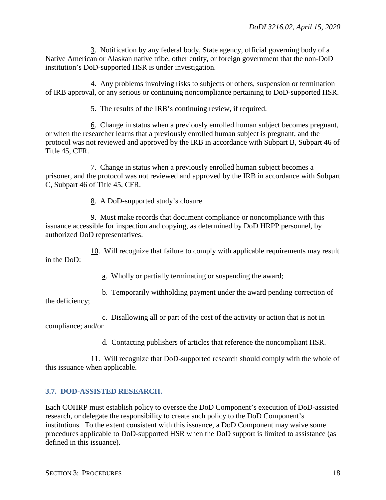3. Notification by any federal body, State agency, official governing body of a Native American or Alaskan native tribe, other entity, or foreign government that the non-DoD institution's DoD-supported HSR is under investigation.

4. Any problems involving risks to subjects or others, suspension or termination of IRB approval, or any serious or continuing noncompliance pertaining to DoD-supported HSR.

5. The results of the IRB's continuing review, if required.

6. Change in status when a previously enrolled human subject becomes pregnant, or when the researcher learns that a previously enrolled human subject is pregnant, and the protocol was not reviewed and approved by the IRB in accordance with Subpart B, Subpart 46 of Title 45, CFR.

7. Change in status when a previously enrolled human subject becomes a prisoner, and the protocol was not reviewed and approved by the IRB in accordance with Subpart C, Subpart 46 of Title 45, CFR.

8. A DoD-supported study's closure.

9. Must make records that document compliance or noncompliance with this issuance accessible for inspection and copying, as determined by DoD HRPP personnel, by authorized DoD representatives.

10. Will recognize that failure to comply with applicable requirements may result in the DoD:

a. Wholly or partially terminating or suspending the award;

b. Temporarily withholding payment under the award pending correction of the deficiency;

c. Disallowing all or part of the cost of the activity or action that is not in compliance; and/or

d. Contacting publishers of articles that reference the noncompliant HSR.

11. Will recognize that DoD-supported research should comply with the whole of this issuance when applicable.

## <span id="page-17-0"></span>**3.7. DOD-ASSISTED RESEARCH.**

Each COHRP must establish policy to oversee the DoD Component's execution of DoD-assisted research, or delegate the responsibility to create such policy to the DoD Component's institutions. To the extent consistent with this issuance, a DoD Component may waive some procedures applicable to DoD-supported HSR when the DoD support is limited to assistance (as defined in this issuance).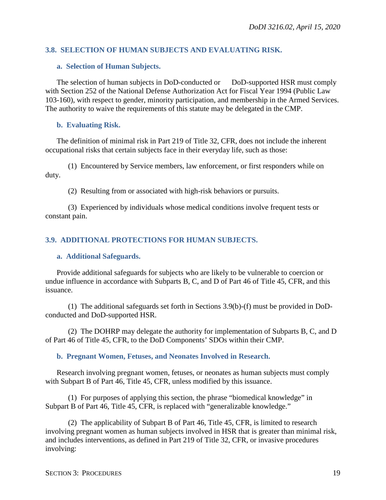## <span id="page-18-0"></span>**3.8. SELECTION OF HUMAN SUBJECTS AND EVALUATING RISK.**

#### <span id="page-18-1"></span>**a. Selection of Human Subjects.**

The selection of human subjects in DoD-conducted or DoD-supported HSR must comply with Section 252 of the National Defense Authorization Act for Fiscal Year 1994 (Public Law 103-160), with respect to gender, minority participation, and membership in the Armed Services. The authority to waive the requirements of this statute may be delegated in the CMP.

#### <span id="page-18-2"></span>**b. Evaluating Risk.**

The definition of minimal risk in Part 219 of Title 32, CFR, does not include the inherent occupational risks that certain subjects face in their everyday life, such as those:

(1) Encountered by Service members, law enforcement, or first responders while on duty.

(2) Resulting from or associated with high-risk behaviors or pursuits.

(3) Experienced by individuals whose medical conditions involve frequent tests or constant pain.

#### <span id="page-18-3"></span>**3.9. ADDITIONAL PROTECTIONS FOR HUMAN SUBJECTS.**

#### <span id="page-18-4"></span>**a. Additional Safeguards.**

Provide additional safeguards for subjects who are likely to be vulnerable to coercion or undue influence in accordance with Subparts B, C, and D of Part 46 of Title 45, CFR, and this issuance.

(1) The additional safeguards set forth in Sections 3.9(b)-(f) must be provided in DoDconducted and DoD-supported HSR.

(2) The DOHRP may delegate the authority for implementation of Subparts B, C, and D of Part 46 of Title 45, CFR, to the DoD Components' SDOs within their CMP.

#### <span id="page-18-5"></span>**b. Pregnant Women, Fetuses, and Neonates Involved in Research.**

Research involving pregnant women, fetuses, or neonates as human subjects must comply with Subpart B of Part 46, Title 45, CFR, unless modified by this issuance.

(1) For purposes of applying this section, the phrase "biomedical knowledge" in Subpart B of Part 46, Title 45, CFR, is replaced with "generalizable knowledge."

(2) The applicability of Subpart B of Part 46, Title 45, CFR, is limited to research involving pregnant women as human subjects involved in HSR that is greater than minimal risk, and includes interventions, as defined in Part 219 of Title 32, CFR, or invasive procedures involving: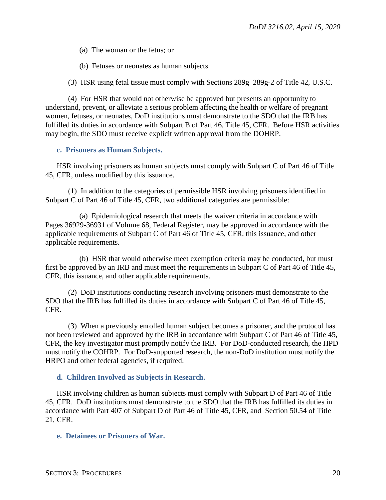(a) The woman or the fetus; or

(b) Fetuses or neonates as human subjects.

(3) HSR using fetal tissue must comply with Sections 289g–289g-2 of Title 42, U.S.C.

(4) For HSR that would not otherwise be approved but presents an opportunity to understand, prevent, or alleviate a serious problem affecting the health or welfare of pregnant women, fetuses, or neonates, DoD institutions must demonstrate to the SDO that the IRB has fulfilled its duties in accordance with Subpart B of Part 46, Title 45, CFR. Before HSR activities may begin, the SDO must receive explicit written approval from the DOHRP.

#### <span id="page-19-0"></span>**c. Prisoners as Human Subjects.**

HSR involving prisoners as human subjects must comply with Subpart C of Part 46 of Title 45, CFR, unless modified by this issuance.

(1) In addition to the categories of permissible HSR involving prisoners identified in Subpart C of Part 46 of Title 45, CFR, two additional categories are permissible:

(a) Epidemiological research that meets the waiver criteria in accordance with Pages 36929-36931 of Volume 68, Federal Register, may be approved in accordance with the applicable requirements of Subpart C of Part 46 of Title 45, CFR, this issuance, and other applicable requirements.

(b) HSR that would otherwise meet exemption criteria may be conducted, but must first be approved by an IRB and must meet the requirements in Subpart C of Part 46 of Title 45, CFR, this issuance, and other applicable requirements.

(2) DoD institutions conducting research involving prisoners must demonstrate to the SDO that the IRB has fulfilled its duties in accordance with Subpart C of Part 46 of Title 45, CFR.

(3) When a previously enrolled human subject becomes a prisoner, and the protocol has not been reviewed and approved by the IRB in accordance with Subpart C of Part 46 of Title 45, CFR, the key investigator must promptly notify the IRB. For DoD-conducted research, the HPD must notify the COHRP. For DoD-supported research, the non-DoD institution must notify the HRPO and other federal agencies, if required.

#### <span id="page-19-1"></span>**d. Children Involved as Subjects in Research.**

HSR involving children as human subjects must comply with Subpart D of Part 46 of Title 45, CFR. DoD institutions must demonstrate to the SDO that the IRB has fulfilled its duties in accordance with Part 407 of Subpart D of Part 46 of Title 45, CFR, and Section 50.54 of Title 21, CFR.

#### <span id="page-19-2"></span>**e. Detainees or Prisoners of War.**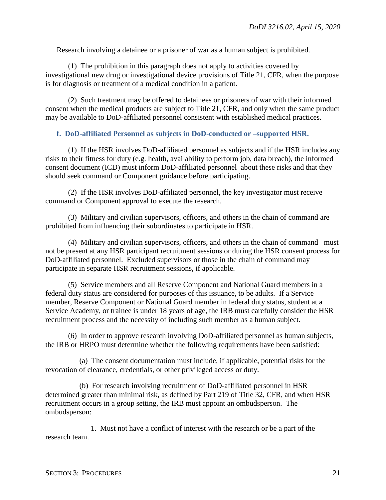Research involving a detainee or a prisoner of war as a human subject is prohibited.

(1) The prohibition in this paragraph does not apply to activities covered by investigational new drug or investigational device provisions of Title 21, CFR, when the purpose is for diagnosis or treatment of a medical condition in a patient.

(2) Such treatment may be offered to detainees or prisoners of war with their informed consent when the medical products are subject to Title 21, CFR, and only when the same product may be available to DoD-affiliated personnel consistent with established medical practices.

#### <span id="page-20-0"></span>**f. DoD-affiliated Personnel as subjects in DoD-conducted or –supported HSR.**

(1) If the HSR involves DoD-affiliated personnel as subjects and if the HSR includes any risks to their fitness for duty (e.g. health, availability to perform job, data breach), the informed consent document (ICD) must inform DoD-affiliated personnel about these risks and that they should seek command or Component guidance before participating.

(2) If the HSR involves DoD-affiliated personnel, the key investigator must receive command or Component approval to execute the research.

(3) Military and civilian supervisors, officers, and others in the chain of command are prohibited from influencing their subordinates to participate in HSR.

(4) Military and civilian supervisors, officers, and others in the chain of command must not be present at any HSR participant recruitment sessions or during the HSR consent process for DoD-affiliated personnel. Excluded supervisors or those in the chain of command may participate in separate HSR recruitment sessions, if applicable.

(5) Service members and all Reserve Component and National Guard members in a federal duty status are considered for purposes of this issuance, to be adults. If a Service member, Reserve Component or National Guard member in federal duty status, student at a Service Academy, or trainee is under 18 years of age, the IRB must carefully consider the HSR recruitment process and the necessity of including such member as a human subject.

(6) In order to approve research involving DoD-affiliated personnel as human subjects, the IRB or HRPO must determine whether the following requirements have been satisfied:

(a) The consent documentation must include, if applicable, potential risks for the revocation of clearance, credentials, or other privileged access or duty.

(b) For research involving recruitment of DoD-affiliated personnel in HSR determined greater than minimal risk, as defined by Part 219 of Title 32, CFR, and when HSR recruitment occurs in a group setting, the IRB must appoint an ombudsperson. The ombudsperson:

1. Must not have a conflict of interest with the research or be a part of the research team.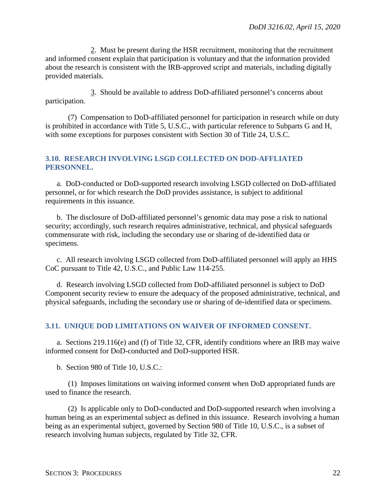2. Must be present during the HSR recruitment, monitoring that the recruitment and informed consent explain that participation is voluntary and that the information provided about the research is consistent with the IRB-approved script and materials, including digitally provided materials.

3. Should be available to address DoD-affiliated personnel's concerns about participation.

(7) Compensation to DoD-affiliated personnel for participation in research while on duty is prohibited in accordance with Title 5, U.S.C., with particular reference to Subparts G and H, with some exceptions for purposes consistent with Section 30 of Title 24, U.S.C.

## <span id="page-21-0"></span>**3.10. RESEARCH INVOLVING LSGD COLLECTED ON DOD-AFFLIATED PERSONNEL.**

a. DoD-conducted or DoD-supported research involving LSGD collected on DoD-affiliated personnel, or for which research the DoD provides assistance, is subject to additional requirements in this issuance.

b. The disclosure of DoD-affiliated personnel's genomic data may pose a risk to national security; accordingly, such research requires administrative, technical, and physical safeguards commensurate with risk, including the secondary use or sharing of de-identified data or specimens.

c. All research involving LSGD collected from DoD-affiliated personnel will apply an HHS CoC pursuant to Title 42, U.S.C., and Public Law 114-255.

d. Research involving LSGD collected from DoD-affiliated personnel is subject to DoD Component security review to ensure the adequacy of the proposed administrative, technical, and physical safeguards, including the secondary use or sharing of de-identified data or specimens.

## <span id="page-21-1"></span>**3.11. UNIQUE DOD LIMITATIONS ON WAIVER OF INFORMED CONSENT.**

a. Sections 219.116(e) and (f) of Title 32, CFR, identify conditions where an IRB may waive informed consent for DoD-conducted and DoD-supported HSR.

b. Section 980 of Title 10, U.S.C.:

(1) Imposes limitations on waiving informed consent when DoD appropriated funds are used to finance the research.

(2) Is applicable only to DoD-conducted and DoD-supported research when involving a human being as an experimental subject as defined in this issuance. Research involving a human being as an experimental subject, governed by Section 980 of Title 10, U.S.C., is a subset of research involving human subjects, regulated by Title 32, CFR.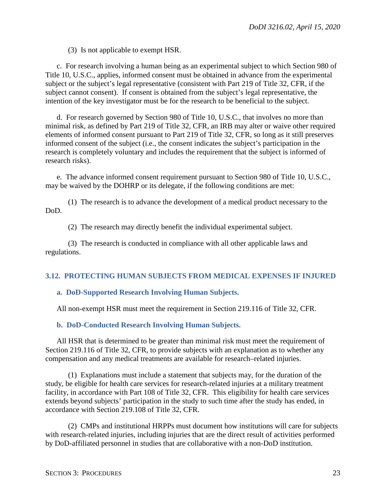(3) Is not applicable to exempt HSR.

c. For research involving a human being as an experimental subject to which Section 980 of Title 10, U.S.C., applies, informed consent must be obtained in advance from the experimental subject or the subject's legal representative (consistent with Part 219 of Title 32, CFR, if the subject cannot consent). If consent is obtained from the subject's legal representative, the intention of the key investigator must be for the research to be beneficial to the subject.

d. For research governed by Section 980 of Title 10, U.S.C., that involves no more than minimal risk, as defined by Part 219 of Title 32, CFR, an IRB may alter or waive other required elements of informed consent pursuant to Part 219 of Title 32, CFR, so long as it still preserves informed consent of the subject (i.e., the consent indicates the subject's participation in the research is completely voluntary and includes the requirement that the subject is informed of research risks).

e. The advance informed consent requirement pursuant to Section 980 of Title 10, U.S.C., may be waived by the DOHRP or its delegate, if the following conditions are met:

(1) The research is to advance the development of a medical product necessary to the DoD.

(2) The research may directly benefit the individual experimental subject.

(3) The research is conducted in compliance with all other applicable laws and regulations.

#### <span id="page-22-0"></span>**3.12. PROTECTING HUMAN SUBJECTS FROM MEDICAL EXPENSES IF INJURED**

#### <span id="page-22-1"></span>**a. DoD-Supported Research Involving Human Subjects.**

All non-exempt HSR must meet the requirement in Section 219.116 of Title 32, CFR.

#### <span id="page-22-2"></span>**b. DoD-Conducted Research Involving Human Subjects.**

All HSR that is determined to be greater than minimal risk must meet the requirement of Section 219.116 of Title 32, CFR, to provide subjects with an explanation as to whether any compensation and any medical treatments are available for research–related injuries.

(1) Explanations must include a statement that subjects may, for the duration of the study, be eligible for health care services for research-related injuries at a military treatment facility, in accordance with Part 108 of Title 32, CFR. This eligibility for health care services extends beyond subjects' participation in the study to such time after the study has ended, in accordance with Section 219.108 of Title 32, CFR.

(2) CMPs and institutional HRPPs must document how institutions will care for subjects with research-related injuries, including injuries that are the direct result of activities performed by DoD-affiliated personnel in studies that are collaborative with a non-DoD institution.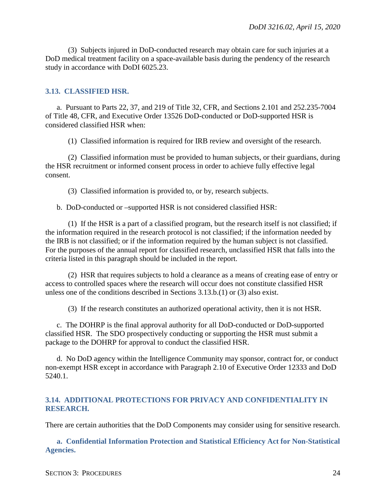(3) Subjects injured in DoD-conducted research may obtain care for such injuries at a DoD medical treatment facility on a space-available basis during the pendency of the research study in accordance with DoDI 6025.23.

#### <span id="page-23-0"></span>**3.13. CLASSIFIED HSR.**

a. Pursuant to Parts 22, 37, and 219 of Title 32, CFR, and Sections 2.101 and 252.235-7004 of Title 48, CFR, and Executive Order 13526 DoD-conducted or DoD-supported HSR is considered classified HSR when:

(1) Classified information is required for IRB review and oversight of the research.

(2) Classified information must be provided to human subjects, or their guardians, during the HSR recruitment or informed consent process in order to achieve fully effective legal consent.

(3) Classified information is provided to, or by, research subjects.

b. DoD-conducted or –supported HSR is not considered classified HSR:

(1) If the HSR is a part of a classified program, but the research itself is not classified; if the information required in the research protocol is not classified; if the information needed by the IRB is not classified; or if the information required by the human subject is not classified. For the purposes of the annual report for classified research, unclassified HSR that falls into the criteria listed in this paragraph should be included in the report.

(2) HSR that requires subjects to hold a clearance as a means of creating ease of entry or access to controlled spaces where the research will occur does not constitute classified HSR unless one of the conditions described in Sections 3.13.b.(1) or (3) also exist.

(3) If the research constitutes an authorized operational activity, then it is not HSR.

c. The DOHRP is the final approval authority for all DoD-conducted or DoD-supported classified HSR. The SDO prospectively conducting or supporting the HSR must submit a package to the DOHRP for approval to conduct the classified HSR.

d. No DoD agency within the Intelligence Community may sponsor, contract for, or conduct non-exempt HSR except in accordance with Paragraph 2.10 of Executive Order 12333 and DoD 5240.1.

#### <span id="page-23-1"></span>**3.14. ADDITIONAL PROTECTIONS FOR PRIVACY AND CONFIDENTIALITY IN RESEARCH.**

There are certain authorities that the DoD Components may consider using for sensitive research.

<span id="page-23-2"></span>**a. Confidential Information Protection and Statistical Efficiency Act for Non-Statistical Agencies.**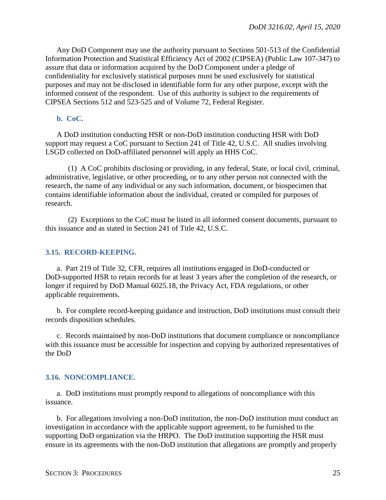Any DoD Component may use the authority pursuant to Sections 501-513 of the Confidential Information Protection and Statistical Efficiency Act of 2002 (CIPSEA) (Public Law 107-347) to assure that data or information acquired by the DoD Component under a pledge of confidentiality for exclusively statistical purposes must be used exclusively for statistical purposes and may not be disclosed in identifiable form for any other purpose, except with the informed consent of the respondent. Use of this authority is subject to the requirements of CIPSEA Sections 512 and 523-525 and of Volume 72, Federal Register.

## <span id="page-24-0"></span>**b. CoC.**

A DoD institution conducting HSR or non-DoD institution conducting HSR with DoD support may request a CoC pursuant to Section 241 of Title 42, U.S.C. All studies involving LSGD collected on DoD-affiliated personnel will apply an HHS CoC.

(1) A CoC prohibits disclosing or providing, in any federal, State, or local civil, criminal, administrative, legislative, or other proceeding, or to any other person not connected with the research, the name of any individual or any such information, document, or biospecimen that contains identifiable information about the individual, created or compiled for purposes of research.

(2) Exceptions to the CoC must be listed in all informed consent documents, pursuant to this issuance and as stated in Section 241 of Title 42, U.S.C.

#### <span id="page-24-1"></span>**3.15. RECORD-KEEPING.**

a. Part 219 of Title 32, CFR, requires all institutions engaged in DoD-conducted or DoD-supported HSR to retain records for at least 3 years after the completion of the research, or longer if required by DoD Manual 6025.18, the Privacy Act, FDA regulations, or other applicable requirements.

b. For complete record-keeping guidance and instruction, DoD institutions must consult their records disposition schedules.

c. Records maintained by non-DoD institutions that document compliance or noncompliance with this issuance must be accessible for inspection and copying by authorized representatives of the DoD

#### <span id="page-24-2"></span>**3.16. NONCOMPLIANCE.**

a. DoD institutions must promptly respond to allegations of noncompliance with this issuance.

b. For allegations involving a non-DoD institution, the non-DoD institution must conduct an investigation in accordance with the applicable support agreement, to be furnished to the supporting DoD organization via the HRPO. The DoD institution supporting the HSR must ensure in its agreements with the non-DoD institution that allegations are promptly and properly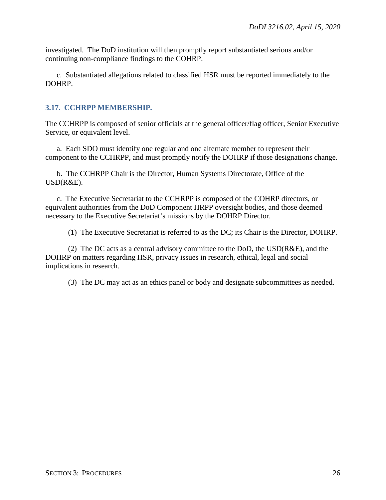investigated. The DoD institution will then promptly report substantiated serious and/or continuing non-compliance findings to the COHRP.

c. Substantiated allegations related to classified HSR must be reported immediately to the DOHRP.

## <span id="page-25-0"></span>**3.17. CCHRPP MEMBERSHIP.**

The CCHRPP is composed of senior officials at the general officer/flag officer, Senior Executive Service, or equivalent level.

a. Each SDO must identify one regular and one alternate member to represent their component to the CCHRPP, and must promptly notify the DOHRP if those designations change.

b. The CCHRPP Chair is the Director, Human Systems Directorate, Office of the USD(R&E).

c. The Executive Secretariat to the CCHRPP is composed of the COHRP directors, or equivalent authorities from the DoD Component HRPP oversight bodies, and those deemed necessary to the Executive Secretariat's missions by the DOHRP Director.

(1) The Executive Secretariat is referred to as the DC; its Chair is the Director, DOHRP.

(2) The DC acts as a central advisory committee to the DoD, the  $\text{USD}(R\&E)$ , and the DOHRP on matters regarding HSR, privacy issues in research, ethical, legal and social implications in research.

(3) The DC may act as an ethics panel or body and designate subcommittees as needed.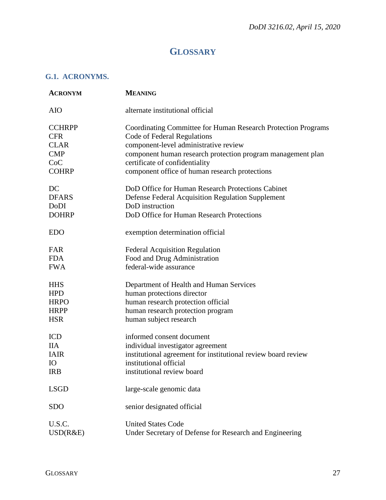# **GLOSSARY**

## <span id="page-26-1"></span><span id="page-26-0"></span>**G.1. ACRONYMS.**

| <b>ACRONYM</b> | <b>MEANING</b>                                                       |
|----------------|----------------------------------------------------------------------|
| <b>AIO</b>     | alternate institutional official                                     |
| <b>CCHRPP</b>  | <b>Coordinating Committee for Human Research Protection Programs</b> |
| <b>CFR</b>     | Code of Federal Regulations                                          |
| <b>CLAR</b>    | component-level administrative review                                |
| <b>CMP</b>     | component human research protection program management plan          |
| CoC            | certificate of confidentiality                                       |
| <b>COHRP</b>   | component office of human research protections                       |
| DC             | DoD Office for Human Research Protections Cabinet                    |
| <b>DFARS</b>   | Defense Federal Acquisition Regulation Supplement                    |
| DoDI           | DoD instruction                                                      |
| <b>DOHRP</b>   | DoD Office for Human Research Protections                            |
| <b>EDO</b>     | exemption determination official                                     |
| FAR            | <b>Federal Acquisition Regulation</b>                                |
| <b>FDA</b>     | Food and Drug Administration                                         |
| <b>FWA</b>     | federal-wide assurance                                               |
| <b>HHS</b>     | Department of Health and Human Services                              |
| <b>HPD</b>     | human protections director                                           |
| <b>HRPO</b>    | human research protection official                                   |
| <b>HRPP</b>    | human research protection program                                    |
| <b>HSR</b>     | human subject research                                               |
| <b>ICD</b>     | informed consent document                                            |
| <b>IIA</b>     | individual investigator agreement                                    |
| <b>IAIR</b>    | institutional agreement for institutional review board review        |
| <b>IO</b>      | institutional official                                               |
| <b>IRB</b>     | institutional review board                                           |
| <b>LSGD</b>    | large-scale genomic data                                             |
| <b>SDO</b>     | senior designated official                                           |
| U.S.C.         | <b>United States Code</b>                                            |
| USD(R&E)       | Under Secretary of Defense for Research and Engineering              |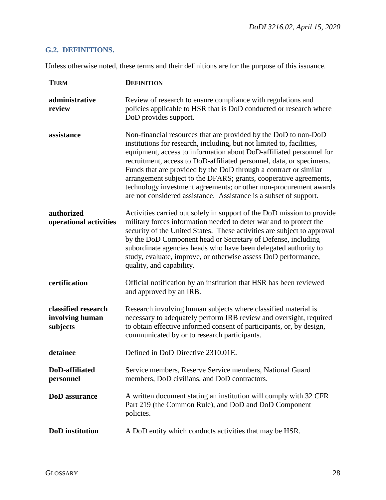## <span id="page-27-0"></span>**G.2. DEFINITIONS.**

Unless otherwise noted, these terms and their definitions are for the purpose of this issuance.

| <b>TERM</b>                                        | <b>DEFINITION</b>                                                                                                                                                                                                                                                                                                                                                                                                                                                                                                                                                          |
|----------------------------------------------------|----------------------------------------------------------------------------------------------------------------------------------------------------------------------------------------------------------------------------------------------------------------------------------------------------------------------------------------------------------------------------------------------------------------------------------------------------------------------------------------------------------------------------------------------------------------------------|
| administrative<br>review                           | Review of research to ensure compliance with regulations and<br>policies applicable to HSR that is DoD conducted or research where<br>DoD provides support.                                                                                                                                                                                                                                                                                                                                                                                                                |
| assistance                                         | Non-financial resources that are provided by the DoD to non-DoD<br>institutions for research, including, but not limited to, facilities,<br>equipment, access to information about DoD-affiliated personnel for<br>recruitment, access to DoD-affiliated personnel, data, or specimens.<br>Funds that are provided by the DoD through a contract or similar<br>arrangement subject to the DFARS; grants, cooperative agreements,<br>technology investment agreements; or other non-procurement awards<br>are not considered assistance. Assistance is a subset of support. |
| authorized<br>operational activities               | Activities carried out solely in support of the DoD mission to provide<br>military forces information needed to deter war and to protect the<br>security of the United States. These activities are subject to approval<br>by the DoD Component head or Secretary of Defense, including<br>subordinate agencies heads who have been delegated authority to<br>study, evaluate, improve, or otherwise assess DoD performance,<br>quality, and capability.                                                                                                                   |
| certification                                      | Official notification by an institution that HSR has been reviewed<br>and approved by an IRB.                                                                                                                                                                                                                                                                                                                                                                                                                                                                              |
| classified research<br>involving human<br>subjects | Research involving human subjects where classified material is<br>necessary to adequately perform IRB review and oversight, required<br>to obtain effective informed consent of participants, or, by design,<br>communicated by or to research participants.                                                                                                                                                                                                                                                                                                               |
| detainee                                           | Defined in DoD Directive 2310.01E.                                                                                                                                                                                                                                                                                                                                                                                                                                                                                                                                         |
| DoD-affiliated<br>personnel                        | Service members, Reserve Service members, National Guard<br>members, DoD civilians, and DoD contractors.                                                                                                                                                                                                                                                                                                                                                                                                                                                                   |
| <b>DoD</b> assurance                               | A written document stating an institution will comply with 32 CFR<br>Part 219 (the Common Rule), and DoD and DoD Component<br>policies.                                                                                                                                                                                                                                                                                                                                                                                                                                    |
| <b>DoD</b> institution                             | A DoD entity which conducts activities that may be HSR.                                                                                                                                                                                                                                                                                                                                                                                                                                                                                                                    |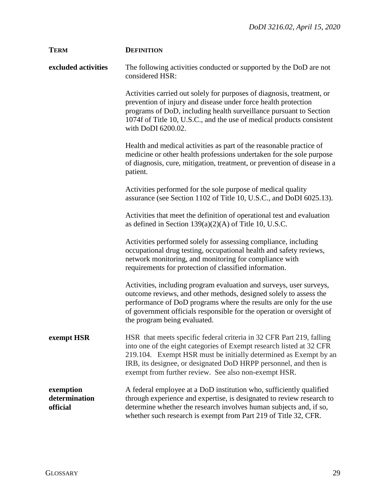| <b>TERM</b>                            | <b>DEFINITION</b>                                                                                                                                                                                                                                                                                                                            |
|----------------------------------------|----------------------------------------------------------------------------------------------------------------------------------------------------------------------------------------------------------------------------------------------------------------------------------------------------------------------------------------------|
| excluded activities                    | The following activities conducted or supported by the DoD are not<br>considered HSR:                                                                                                                                                                                                                                                        |
|                                        | Activities carried out solely for purposes of diagnosis, treatment, or<br>prevention of injury and disease under force health protection<br>programs of DoD, including health surveillance pursuant to Section<br>1074f of Title 10, U.S.C., and the use of medical products consistent<br>with DoDI 6200.02.                                |
|                                        | Health and medical activities as part of the reasonable practice of<br>medicine or other health professions undertaken for the sole purpose<br>of diagnosis, cure, mitigation, treatment, or prevention of disease in a<br>patient.                                                                                                          |
|                                        | Activities performed for the sole purpose of medical quality<br>assurance (see Section 1102 of Title 10, U.S.C., and DoDI 6025.13).                                                                                                                                                                                                          |
|                                        | Activities that meet the definition of operational test and evaluation<br>as defined in Section 139(a)(2)(A) of Title 10, U.S.C.                                                                                                                                                                                                             |
|                                        | Activities performed solely for assessing compliance, including<br>occupational drug testing, occupational health and safety reviews,<br>network monitoring, and monitoring for compliance with<br>requirements for protection of classified information.                                                                                    |
|                                        | Activities, including program evaluation and surveys, user surveys,<br>outcome reviews, and other methods, designed solely to assess the<br>performance of DoD programs where the results are only for the use<br>of government officials responsible for the operation or oversight of<br>the program being evaluated.                      |
| exempt HSR                             | HSR that meets specific federal criteria in 32 CFR Part 219, falling<br>into one of the eight categories of Exempt research listed at 32 CFR<br>219.104. Exempt HSR must be initially determined as Exempt by an<br>IRB, its designee, or designated DoD HRPP personnel, and then is<br>exempt from further review. See also non-exempt HSR. |
| exemption<br>determination<br>official | A federal employee at a DoD institution who, sufficiently qualified<br>through experience and expertise, is designated to review research to<br>determine whether the research involves human subjects and, if so,<br>whether such research is exempt from Part 219 of Title 32, CFR.                                                        |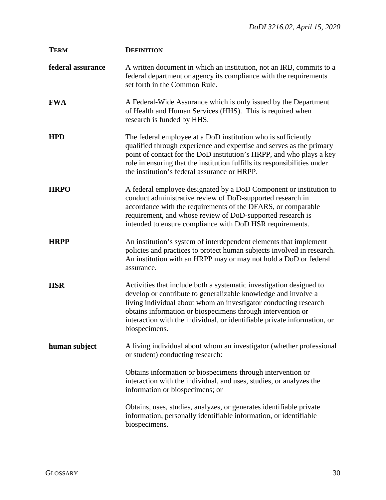| <b>TERM</b>       | <b>DEFINITION</b>                                                                                                                                                                                                                                                                                                                                                     |
|-------------------|-----------------------------------------------------------------------------------------------------------------------------------------------------------------------------------------------------------------------------------------------------------------------------------------------------------------------------------------------------------------------|
| federal assurance | A written document in which an institution, not an IRB, commits to a<br>federal department or agency its compliance with the requirements<br>set forth in the Common Rule.                                                                                                                                                                                            |
| <b>FWA</b>        | A Federal-Wide Assurance which is only issued by the Department<br>of Health and Human Services (HHS). This is required when<br>research is funded by HHS.                                                                                                                                                                                                            |
| <b>HPD</b>        | The federal employee at a DoD institution who is sufficiently<br>qualified through experience and expertise and serves as the primary<br>point of contact for the DoD institution's HRPP, and who plays a key<br>role in ensuring that the institution fulfills its responsibilities under<br>the institution's federal assurance or HRPP.                            |
| <b>HRPO</b>       | A federal employee designated by a DoD Component or institution to<br>conduct administrative review of DoD-supported research in<br>accordance with the requirements of the DFARS, or comparable<br>requirement, and whose review of DoD-supported research is<br>intended to ensure compliance with DoD HSR requirements.                                            |
| <b>HRPP</b>       | An institution's system of interdependent elements that implement<br>policies and practices to protect human subjects involved in research.<br>An institution with an HRPP may or may not hold a DoD or federal<br>assurance.                                                                                                                                         |
| <b>HSR</b>        | Activities that include both a systematic investigation designed to<br>develop or contribute to generalizable knowledge and involve a<br>living individual about whom an investigator conducting research<br>obtains information or biospecimens through intervention or<br>interaction with the individual, or identifiable private information, or<br>biospecimens. |
| human subject     | A living individual about whom an investigator (whether professional<br>or student) conducting research:                                                                                                                                                                                                                                                              |
|                   | Obtains information or biospecimens through intervention or<br>interaction with the individual, and uses, studies, or analyzes the<br>information or biospecimens; or                                                                                                                                                                                                 |
|                   | Obtains, uses, studies, analyzes, or generates identifiable private<br>information, personally identifiable information, or identifiable<br>biospecimens.                                                                                                                                                                                                             |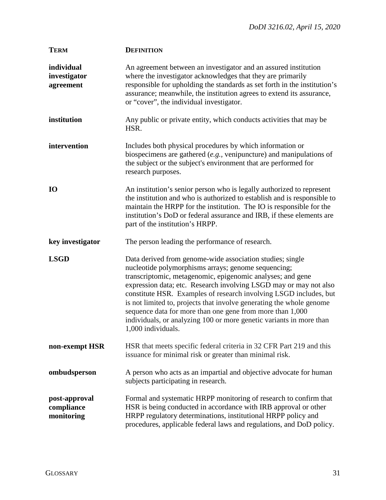| <b>TERM</b>                               | <b>DEFINITION</b>                                                                                                                                                                                                                                                                                                                                                                                                                                                                                                                                          |
|-------------------------------------------|------------------------------------------------------------------------------------------------------------------------------------------------------------------------------------------------------------------------------------------------------------------------------------------------------------------------------------------------------------------------------------------------------------------------------------------------------------------------------------------------------------------------------------------------------------|
| individual<br>investigator<br>agreement   | An agreement between an investigator and an assured institution<br>where the investigator acknowledges that they are primarily<br>responsible for upholding the standards as set forth in the institution's<br>assurance; meanwhile, the institution agrees to extend its assurance,<br>or "cover", the individual investigator.                                                                                                                                                                                                                           |
| institution                               | Any public or private entity, which conducts activities that may be<br>HSR.                                                                                                                                                                                                                                                                                                                                                                                                                                                                                |
| intervention                              | Includes both physical procedures by which information or<br>biospecimens are gathered $(e.g.,$ venipuncture) and manipulations of<br>the subject or the subject's environment that are performed for<br>research purposes.                                                                                                                                                                                                                                                                                                                                |
| <b>IO</b>                                 | An institution's senior person who is legally authorized to represent<br>the institution and who is authorized to establish and is responsible to<br>maintain the HRPP for the institution. The IO is responsible for the<br>institution's DoD or federal assurance and IRB, if these elements are<br>part of the institution's HRPP.                                                                                                                                                                                                                      |
| key investigator                          | The person leading the performance of research.                                                                                                                                                                                                                                                                                                                                                                                                                                                                                                            |
| <b>LSGD</b>                               | Data derived from genome-wide association studies; single<br>nucleotide polymorphisms arrays; genome sequencing;<br>transcriptomic, metagenomic, epigenomic analyses; and gene<br>expression data; etc. Research involving LSGD may or may not also<br>constitute HSR. Examples of research involving LSGD includes, but<br>is not limited to, projects that involve generating the whole genome<br>sequence data for more than one gene from more than 1,000<br>individuals, or analyzing 100 or more genetic variants in more than<br>1,000 individuals. |
| non-exempt HSR                            | HSR that meets specific federal criteria in 32 CFR Part 219 and this<br>issuance for minimal risk or greater than minimal risk.                                                                                                                                                                                                                                                                                                                                                                                                                            |
| ombudsperson                              | A person who acts as an impartial and objective advocate for human<br>subjects participating in research.                                                                                                                                                                                                                                                                                                                                                                                                                                                  |
| post-approval<br>compliance<br>monitoring | Formal and systematic HRPP monitoring of research to confirm that<br>HSR is being conducted in accordance with IRB approval or other<br>HRPP regulatory determinations, institutional HRPP policy and<br>procedures, applicable federal laws and regulations, and DoD policy.                                                                                                                                                                                                                                                                              |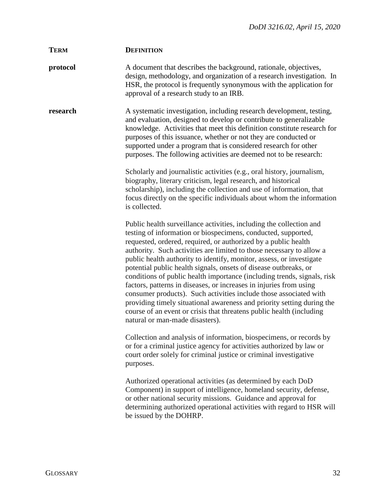| <b>TERM</b> | <b>DEFINITION</b>                                                                                                                                                                                                                                                                                                                                                                                                                                                                                                                                                                                                                                                                                                                                                                                                                     |
|-------------|---------------------------------------------------------------------------------------------------------------------------------------------------------------------------------------------------------------------------------------------------------------------------------------------------------------------------------------------------------------------------------------------------------------------------------------------------------------------------------------------------------------------------------------------------------------------------------------------------------------------------------------------------------------------------------------------------------------------------------------------------------------------------------------------------------------------------------------|
| protocol    | A document that describes the background, rationale, objectives,<br>design, methodology, and organization of a research investigation. In<br>HSR, the protocol is frequently synonymous with the application for<br>approval of a research study to an IRB.                                                                                                                                                                                                                                                                                                                                                                                                                                                                                                                                                                           |
| research    | A systematic investigation, including research development, testing,<br>and evaluation, designed to develop or contribute to generalizable<br>knowledge. Activities that meet this definition constitute research for<br>purposes of this issuance, whether or not they are conducted or<br>supported under a program that is considered research for other<br>purposes. The following activities are deemed not to be research:                                                                                                                                                                                                                                                                                                                                                                                                      |
|             | Scholarly and journalistic activities (e.g., oral history, journalism,<br>biography, literary criticism, legal research, and historical<br>scholarship), including the collection and use of information, that<br>focus directly on the specific individuals about whom the information<br>is collected.                                                                                                                                                                                                                                                                                                                                                                                                                                                                                                                              |
|             | Public health surveillance activities, including the collection and<br>testing of information or biospecimens, conducted, supported,<br>requested, ordered, required, or authorized by a public health<br>authority. Such activities are limited to those necessary to allow a<br>public health authority to identify, monitor, assess, or investigate<br>potential public health signals, onsets of disease outbreaks, or<br>conditions of public health importance (including trends, signals, risk<br>factors, patterns in diseases, or increases in injuries from using<br>consumer products). Such activities include those associated with<br>providing timely situational awareness and priority setting during the<br>course of an event or crisis that threatens public health (including<br>natural or man-made disasters). |
|             | Collection and analysis of information, biospecimens, or records by<br>or for a criminal justice agency for activities authorized by law or<br>court order solely for criminal justice or criminal investigative<br>purposes.                                                                                                                                                                                                                                                                                                                                                                                                                                                                                                                                                                                                         |
|             | Authorized operational activities (as determined by each DoD<br>Component) in support of intelligence, homeland security, defense,<br>or other national security missions. Guidance and approval for<br>determining authorized operational activities with regard to HSR will<br>be issued by the DOHRP.                                                                                                                                                                                                                                                                                                                                                                                                                                                                                                                              |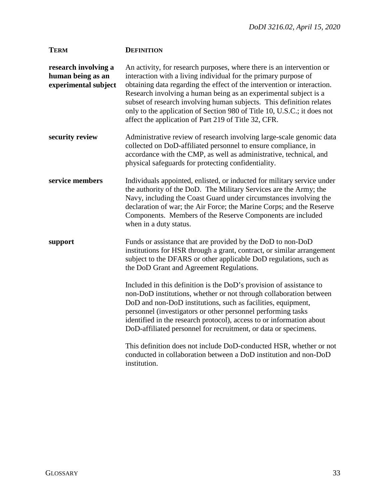| <b>TERM</b>                                                       | <b>DEFINITION</b>                                                                                                                                                                                                                                                                                                                                                                                                                                                                                  |
|-------------------------------------------------------------------|----------------------------------------------------------------------------------------------------------------------------------------------------------------------------------------------------------------------------------------------------------------------------------------------------------------------------------------------------------------------------------------------------------------------------------------------------------------------------------------------------|
| research involving a<br>human being as an<br>experimental subject | An activity, for research purposes, where there is an intervention or<br>interaction with a living individual for the primary purpose of<br>obtaining data regarding the effect of the intervention or interaction.<br>Research involving a human being as an experimental subject is a<br>subset of research involving human subjects. This definition relates<br>only to the application of Section 980 of Title 10, U.S.C.; it does not<br>affect the application of Part 219 of Title 32, CFR. |
| security review                                                   | Administrative review of research involving large-scale genomic data<br>collected on DoD-affiliated personnel to ensure compliance, in<br>accordance with the CMP, as well as administrative, technical, and<br>physical safeguards for protecting confidentiality.                                                                                                                                                                                                                                |
| service members                                                   | Individuals appointed, enlisted, or inducted for military service under<br>the authority of the DoD. The Military Services are the Army; the<br>Navy, including the Coast Guard under circumstances involving the<br>declaration of war; the Air Force; the Marine Corps; and the Reserve<br>Components. Members of the Reserve Components are included<br>when in a duty status.                                                                                                                  |
| support                                                           | Funds or assistance that are provided by the DoD to non-DoD<br>institutions for HSR through a grant, contract, or similar arrangement<br>subject to the DFARS or other applicable DoD regulations, such as<br>the DoD Grant and Agreement Regulations.                                                                                                                                                                                                                                             |
|                                                                   | Included in this definition is the DoD's provision of assistance to<br>non-DoD institutions, whether or not through collaboration between<br>DoD and non-DoD institutions, such as facilities, equipment,<br>personnel (investigators or other personnel performing tasks<br>identified in the research protocol), access to or information about<br>DoD-affiliated personnel for recruitment, or data or specimens.                                                                               |
|                                                                   | This definition does not include DoD-conducted HSR, whether or not<br>conducted in collaboration between a DoD institution and non-DoD<br>institution.                                                                                                                                                                                                                                                                                                                                             |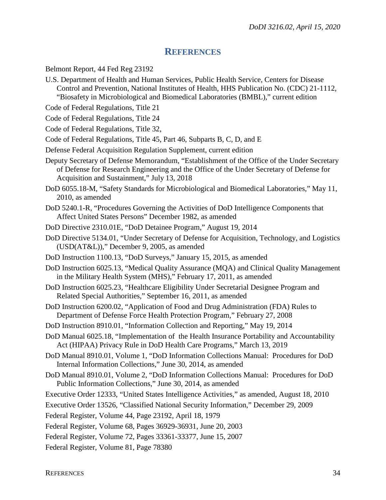## **REFERENCES**

<span id="page-33-0"></span>Belmont Report, 44 Fed Reg 23192

- U.S. Department of Health and Human Services, Public Health Service, Centers for Disease Control and Prevention, National Institutes of Health, HHS Publication No. (CDC) 21-1112, "Biosafety in Microbiological and Biomedical Laboratories (BMBL)," current edition
- Code of Federal Regulations, Title 21
- Code of Federal Regulations, Title 24
- Code of Federal Regulations, Title 32,
- Code of Federal Regulations, Title 45, Part 46, Subparts B, C, D, and E
- Defense Federal Acquisition Regulation Supplement, current edition
- Deputy Secretary of Defense Memorandum, "Establishment of the Office of the Under Secretary of Defense for Research Engineering and the Office of the Under Secretary of Defense for Acquisition and Sustainment," July 13, 2018
- DoD 6055.18-M, "Safety Standards for Microbiological and Biomedical Laboratories," May 11, 2010, as amended
- DoD 5240.1-R, "Procedures Governing the Activities of DoD Intelligence Components that Affect United States Persons" December 1982, as amended
- DoD Directive 2310.01E, "DoD Detainee Program," August 19, 2014
- DoD Directive 5134.01, "Under Secretary of Defense for Acquisition, Technology, and Logistics (USD(AT&L))," December 9, 2005, as amended
- DoD Instruction 1100.13, "DoD Surveys," January 15, 2015, as amended
- DoD Instruction 6025.13, "Medical Quality Assurance (MQA) and Clinical Quality Management in the Military Health System (MHS)," February 17, 2011, as amended
- DoD Instruction 6025.23, "Healthcare Eligibility Under Secretarial Designee Program and Related Special Authorities," September 16, 2011, as amended
- DoD Instruction 6200.02, "Application of Food and Drug Administration (FDA) Rules to Department of Defense Force Health Protection Program," February 27, 2008
- DoD Instruction 8910.01, "Information Collection and Reporting," May 19, 2014
- DoD Manual 6025.18, "Implementation of the Health Insurance Portability and Accountability Act (HIPAA) Privacy Rule in DoD Health Care Programs," March 13, 2019
- DoD Manual 8910.01, Volume 1, "DoD Information Collections Manual: Procedures for DoD Internal Information Collections," June 30, 2014, as amended
- DoD Manual 8910.01, Volume 2, "DoD Information Collections Manual: Procedures for DoD Public Information Collections," June 30, 2014, as amended
- Executive Order 12333, "United States Intelligence Activities," as amended, August 18, 2010
- Executive Order 13526, "Classified National Security Information," December 29, 2009
- Federal Register, Volume 44, Page 23192, April 18, 1979
- Federal Register, Volume 68, Pages 36929-36931, June 20, 2003
- Federal Register, Volume 72, Pages 33361-33377, June 15, 2007
- Federal Register, Volume 81, Page 78380